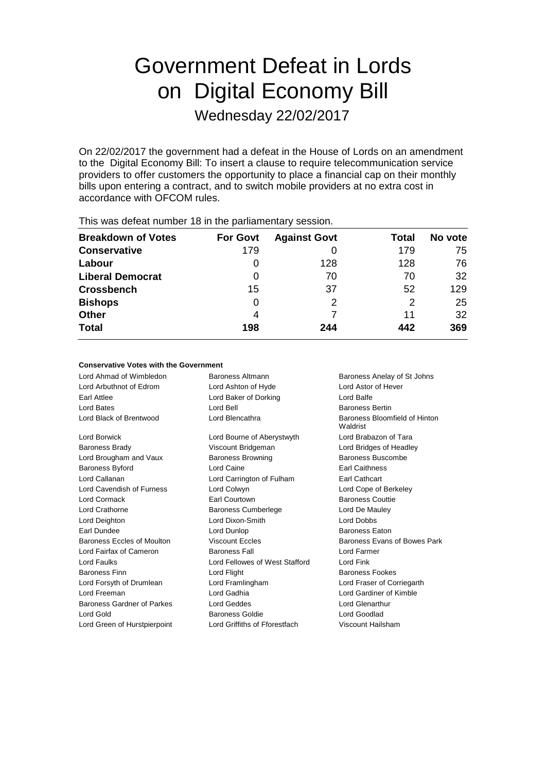# Government Defeat in Lords on Digital Economy Bill

Wednesday 22/02/2017

On 22/02/2017 the government had a defeat in the House of Lords on an amendment to the Digital Economy Bill: To insert a clause to require telecommunication service providers to offer customers the opportunity to place a financial cap on their monthly bills upon entering a contract, and to switch mobile providers at no extra cost in accordance with OFCOM rules.

| This was assembly form the parliamentary seconditi |                 |                     |       |         |  |  |
|----------------------------------------------------|-----------------|---------------------|-------|---------|--|--|
| <b>Breakdown of Votes</b>                          | <b>For Govt</b> | <b>Against Govt</b> | Total | No vote |  |  |
| <b>Conservative</b>                                | 179             |                     | 179   | 75      |  |  |
| Labour                                             | O               | 128                 | 128   | 76      |  |  |
| <b>Liberal Democrat</b>                            | 0               | 70                  | 70    | 32      |  |  |
| <b>Crossbench</b>                                  | 15              | 37                  | 52    | 129     |  |  |
| <b>Bishops</b>                                     | 0               | 2                   | 2     | 25      |  |  |
| <b>Other</b>                                       | 4               |                     | 11    | 32      |  |  |
| <b>Total</b>                                       | 198             | 244                 | 442   | 369     |  |  |
|                                                    |                 |                     |       |         |  |  |

This was defeat number 18 in the parliamentary session.

#### **Conservative Votes with the Government**

| Lord Ahmad of Wimbledon           | Baroness Altmann                       | Baroness Anelay of St Johns               |
|-----------------------------------|----------------------------------------|-------------------------------------------|
| Lord Arbuthnot of Edrom           | Lord Ashton of Hyde                    | Lord Astor of Hever                       |
| Earl Attlee                       | Lord Baker of Dorking                  | Lord Balfe                                |
| <b>Lord Bates</b>                 | Lord Bell                              | <b>Baroness Bertin</b>                    |
| Lord Black of Brentwood           | Lord Blencathra                        | Baroness Bloomfield of Hinton<br>Waldrist |
| Lord Borwick                      | Lord Bourne of Aberystwyth             | Lord Brabazon of Tara                     |
| <b>Baroness Brady</b>             | Viscount Bridgeman                     | Lord Bridges of Headley                   |
| Lord Brougham and Vaux            | <b>Baroness Browning</b>               | <b>Baroness Buscombe</b>                  |
| Baroness Byford                   | Lord Caine                             | <b>Earl Caithness</b>                     |
| Lord Callanan                     | Lord Carrington of Fulham              | <b>Earl Cathcart</b>                      |
| Lord Cavendish of Furness         | Lord Colwyn                            | Lord Cope of Berkeley                     |
| Lord Cormack                      | Earl Courtown                          | <b>Baroness Couttie</b>                   |
| Lord Crathorne                    | <b>Baroness Cumberlege</b>             | Lord De Mauley                            |
| Lord Deighton                     | Lord Dixon-Smith                       | <b>Lord Dobbs</b>                         |
| Earl Dundee                       | Lord Dunlop                            | <b>Baroness Eaton</b>                     |
| Baroness Eccles of Moulton        | <b>Viscount Eccles</b>                 | Baroness Evans of Bowes Park              |
| Lord Fairfax of Cameron           | <b>Baroness Fall</b>                   | Lord Farmer                               |
| Lord Faulks                       | Lord Fellowes of West Stafford         | Lord Fink                                 |
| <b>Baroness Finn</b>              | Lord Flight                            | <b>Baroness Fookes</b>                    |
| Lord Forsyth of Drumlean          | Lord Framlingham                       | Lord Fraser of Corriegarth                |
| Lord Freeman                      | Lord Gadhia                            | Lord Gardiner of Kimble                   |
| <b>Baroness Gardner of Parkes</b> | Lord Geddes                            | Lord Glenarthur                           |
| Lord Gold                         | Lord Goodlad<br><b>Baroness Goldie</b> |                                           |
| Lord Green of Hurstpierpoint      | Lord Griffiths of Fforestfach          | Viscount Hailsham                         |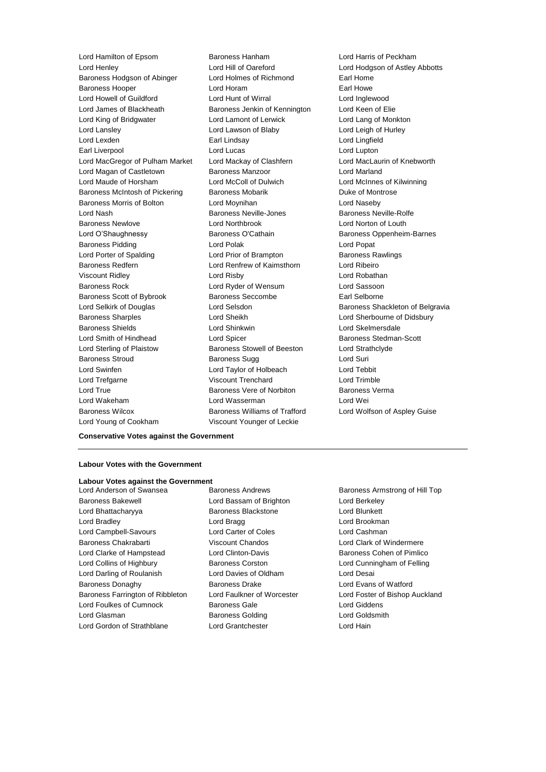Lord Hamilton of Epsom Baroness Hanham Lord Harris of Peckham Lord Henley Lord Hill of Oareford Lord Hodgson of Astley Abbotts Baroness Hodgson of Abinger Lord Holmes of Richmond Earl Home Baroness Hooper Lord Horam Earl Howe Lord Howell of Guildford Lord Hunt of Wirral Lord Inglewood Lord James of Blackheath Baroness Jenkin of Kennington Lord Keen of Elie Lord King of Bridgwater Lord Lamont of Lerwick Lord Lang of Monkton Lord Lansley Lord Lawson of Blaby Lord Leigh of Hurley Lord Lexden Earl Lindsay Lord Lingfield Earl Liverpool **Lord Lucas** Lord Lucas **Lord Lupton** Lord MacGregor of Pulham Market Lord Mackay of Clashfern Lord MacLaurin of Knebworth Lord Magan of Castletown **Baroness Manzoor Baroness Manzoor** Lord Marland Lord Maude of Horsham Lord McColl of Dulwich Lord McInnes of Kilwinning Baroness McIntosh of Pickering Baroness Mobarik Baroness Mobaric Duke of Montrose Baroness Morris of Bolton Lord Moynihan Lord Naseby Lord Nash **Baroness Neville-Jones** Baroness Neville-Rolfe Baroness Newlove Lord Northbrook Lord Norton of Louth Lord O'Shaughnessy **Baroness O'Cathain** Baroness Oppenheim-Barnes Baroness Pidding **Lord Polak Lord Polace Contains Lord Popat** Lord Popat Lord Porter of Spalding Lord Prior of Brampton Baroness Rawlings Baroness Redfern Lord Renfrew of Kaimsthorn Lord Ribeiro Viscount Ridley Lord Risby Lord Robathan Baroness Rock Lord Ryder of Wensum Lord Sassoon Baroness Scott of Bybrook Baroness Seccombe Earl Selborne Lord Selkirk of Douglas **Lord Selsdon** Baroness Shackleton of Belgravia Baroness Sharples Lord Sheikh Lord Sherbourne of Didsbury Baroness Shields Lord Shinkwin Lord Skelmersdale Lord Smith of Hindhead **Lord Spicer** Lord Spicer **Baroness Stedman-Scott** Lord Sterling of Plaistow Baroness Stowell of Beeston Lord Strathclyde **Baroness Stroud Community Baroness Sugg Community Community Baroness Sugg Community Community Community Community** Lord Swinfen Lord Taylor of Holbeach Lord Tebbit Lord Trefgarne Viscount Trenchard Lord Trimble Lord True Baroness Vere of Norbiton Baroness Verma Lord Wakeham Lord Wasserman Lord Wei Baroness Wilcox Baroness Williams of Trafford Lord Wolfson of Aspley Guise

Lord Young of Cookham Viscount Younger of Leckie

### **Conservative Votes against the Government**

#### **Labour Votes with the Government**

#### **Labour Votes against the Government**

Lord Anderson of Swansea **Baroness Andrews** Baroness Armstrong of Hill Top Baroness Bakewell Lord Bassam of Brighton Lord Berkeley Lord Bhattacharyya Baroness Blackstone Lord Blunkett Lord Bradley **Lord Bragg Lord Bragg Lord Bradley** Lord Brookman Lord Campbell-Savours Lord Carter of Coles Lord Cashman Baroness Chakrabarti **Viscount Chandos** Lord Clark of Windermere Lord Clarke of Hampstead Lord Clinton-Davis Baroness Cohen of Pimlico Lord Collins of Highbury Baroness Corston Lord Cunningham of Felling Lord Darling of Roulanish Lord Davies of Oldham Lord Desai Baroness Donaghy **Baroness Drake Lord Evans of Watford** Baroness Drake Lord Evans of Watford Baroness Farrington of Ribbleton Lord Faulkner of Worcester Lord Foster of Bishop Auckland Lord Foulkes of Cumnock Baroness Gale Corresponding Lord Giddens Lord Glasman **Baroness Golding Class Constructs** Lord Goldsmith Lord Gordon of Strathblane Lord Grantchester Lord Hain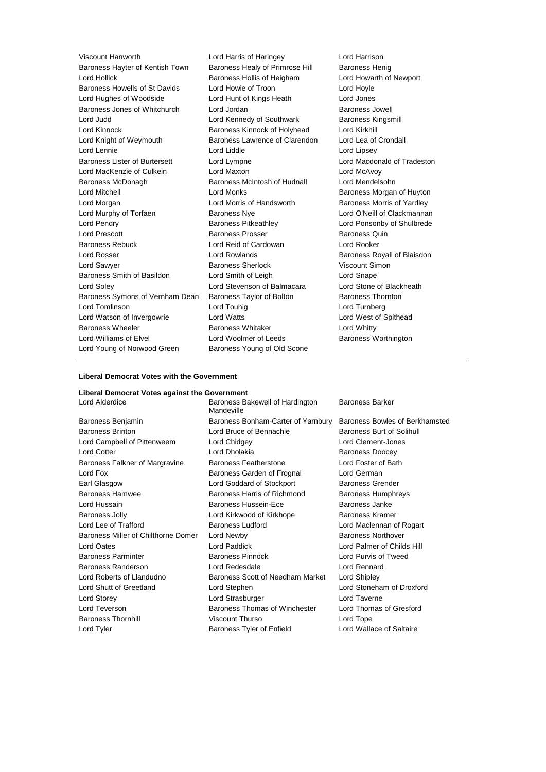| <b>Viscount Hanworth</b>             | Lord Harris of Haringey         | Lord Harrison          |
|--------------------------------------|---------------------------------|------------------------|
| Baroness Hayter of Kentish Town      | Baroness Healy of Primrose Hill | <b>Baroness Henig</b>  |
| Lord Hollick                         | Baroness Hollis of Heigham      | Lord Howarth of        |
| Baroness Howells of St Davids        | Lord Howie of Troon             | Lord Hoyle             |
| Lord Hughes of Woodside              | Lord Hunt of Kings Heath        | Lord Jones             |
| Baroness Jones of Whitchurch         | Lord Jordan                     | Baroness Jowell        |
| Lord Judd                            | Lord Kennedy of Southwark       | <b>Baroness Kingsn</b> |
| Lord Kinnock                         | Baroness Kinnock of Holyhead    | Lord Kirkhill          |
| Lord Knight of Weymouth              | Baroness Lawrence of Clarendon  | Lord Lea of Cron       |
| Lord Lennie                          | Lord Liddle                     | Lord Lipsey            |
| <b>Baroness Lister of Burtersett</b> | Lord Lympne                     | Lord Macdonald         |
| Lord MacKenzie of Culkein            | Lord Maxton                     | Lord McAvoy            |
| Baroness McDonagh                    | Baroness McIntosh of Hudnall    | Lord Mendelsohr        |
| <b>Lord Mitchell</b>                 | <b>Lord Monks</b>               | <b>Baroness Morgar</b> |
| Lord Morgan                          | Lord Morris of Handsworth       | <b>Baroness Morris</b> |
| Lord Murphy of Torfaen               | <b>Baroness Nye</b>             | Lord O'Neill of Cl     |
| Lord Pendry                          | <b>Baroness Pitkeathley</b>     | Lord Ponsonby o        |
| <b>Lord Prescott</b>                 | <b>Baroness Prosser</b>         | Baroness Quin          |
| <b>Baroness Rebuck</b>               | Lord Reid of Cardowan           | Lord Rooker            |
| Lord Rosser                          | Lord Rowlands                   | <b>Baroness Royall</b> |
| Lord Sawyer                          | <b>Baroness Sherlock</b>        | Viscount Simon         |
| Baroness Smith of Basildon           | Lord Smith of Leigh             | Lord Snape             |
| Lord Soley                           | Lord Stevenson of Balmacara     | Lord Stone of Bla      |
| Baroness Symons of Vernham Dean      | Baroness Taylor of Bolton       | <b>Baroness Thornt</b> |
| Lord Tomlinson                       | Lord Touhig                     | Lord Turnberg          |
| Lord Watson of Invergowrie           | <b>Lord Watts</b>               | Lord West of Spi       |
| <b>Baroness Wheeler</b>              | <b>Baroness Whitaker</b>        | Lord Whitty            |
| Lord Williams of Elvel               | Lord Woolmer of Leeds           | <b>Baroness Worthi</b> |
| Lord Young of Norwood Green          | Baroness Young of Old Scone     |                        |
|                                      |                                 |                        |

roness Henig rd Howarth of Newport roness Kingsmill rd Lea of Crondall<br>rd Lipsey rd Macdonald of Tradeston rd Mendelsohn roness Morgan of Huyton roness Morris of Yardley rd O'Neill of Clackmannan rd Ponsonby of Shulbrede roness Quin roness Royall of Blaisdon count Simon rd Stone of Blackheath roness Thornton rd West of Spithead roness Worthington

#### **Liberal Democrat Votes with the Government**

### **Liberal Democrat Votes against the Government** Lord Alderdice **Baroness Bakewell of Hardington Mandeville** Baroness Barker Baroness Benjamin Baroness Bonham-Carter of Yarnbury Baroness Bowles of Berkhamsted Baroness Brinton **Baroness** Brinton **Lord Bruce of Bennachie** Baroness Burt of Solihull Lord Campbell of Pittenweem Lord Chidgey Lord Clement-Jones Lord Cotter **Lord Dholakia** Baroness Doocey Baroness Falkner of Margravine Baroness Featherstone Lord Foster of Bath Lord Fox **Baroness Garden of Frognal** Lord German Lord German Earl Glasgow **Lord Goddard of Stockport** Baroness Grender Baroness Hamwee Baroness Harris of Richmond Baroness Humphreys Lord Hussain **Baroness Hussein-Ece** Baroness Janke Baroness Jolly **Lord Kirkwood of Kirkhope** Baroness Kramer Lord Lee of Trafford **Baroness Ludford** Baroness Ludford Lord Maclennan of Rogart Baroness Miller of Chilthorne Domer Lord Newby **Baroness Northover** Baroness Northover Lord Oates Lord Paddick Lord Palmer of Childs Hill Baroness Parminter Baroness Pinnock Lord Purvis of Tweed Baroness Randerson Lord Redesdale Lord Rennard Lord Roberts of Llandudno Baroness Scott of Needham Market Lord Shipley Lord Shutt of Greetland Lord Stephen Lord Stoneham of Droxford<br>
Lord Stoneham of Droxford<br>
Lord Strasburger<br>
Lord Taverne Lord Strasburger Lord Taverne Lord Teverson Baroness Thomas of Winchester Lord Thomas of Gresford Baroness Thornhill Viscount Thurso Lord Tope Lord Tyler **Baroness Tyler of Enfield** Lord Wallace of Saltaire